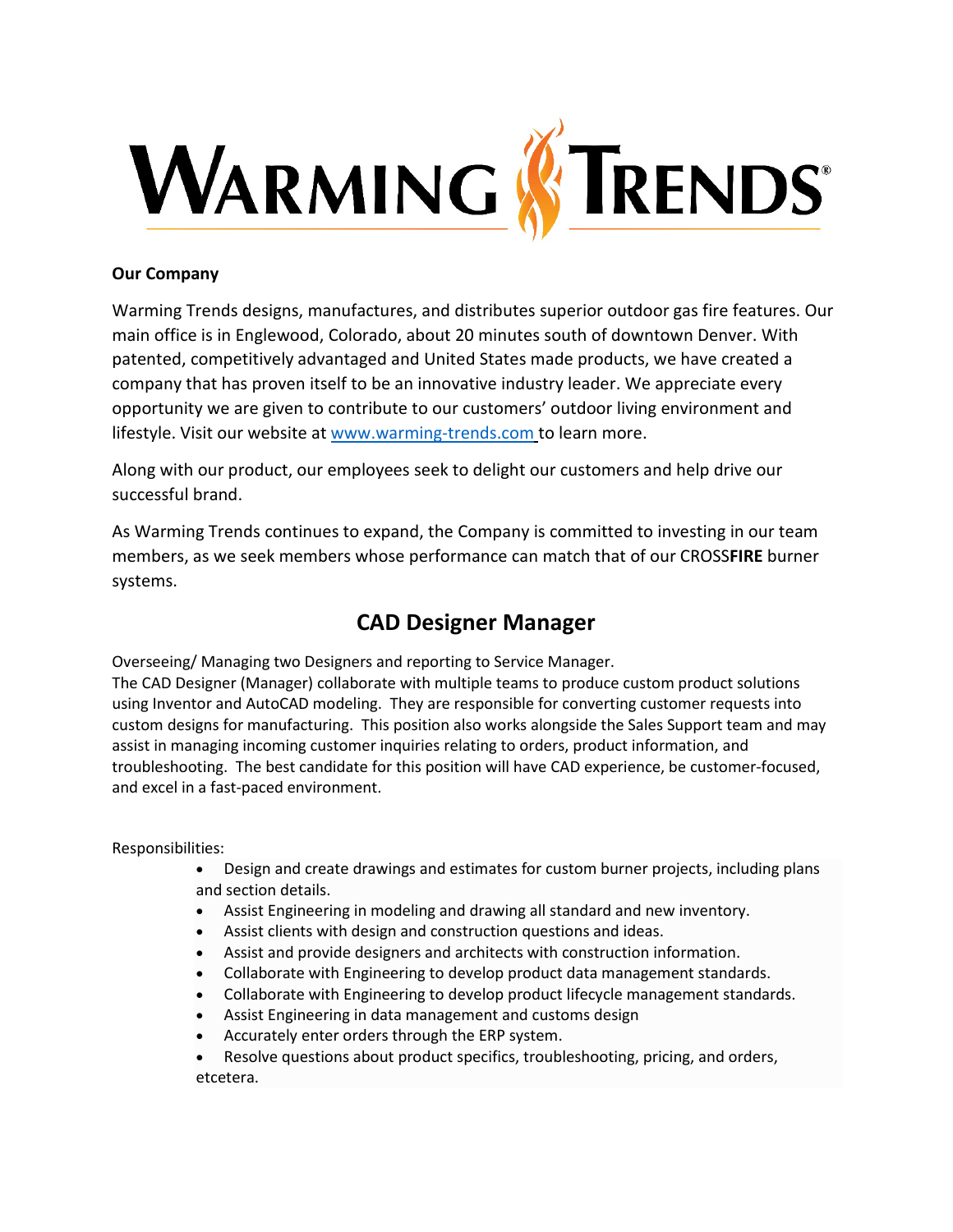

## **Our Company**

Warming Trends designs, manufactures, and distributes superior outdoor gas fire features. Our main office is in Englewood, Colorado, about 20 minutes south of downtown Denver. With patented, competitively advantaged and United States made products, we have created a company that has proven itself to be an innovative industry leader. We appreciate every opportunity we are given to contribute to our customers' outdoor living environment and lifestyle. Visit our website at [www.warming-trends.com](http://www.warming-trends.com/) to learn more.

Along with our product, our employees seek to delight our customers and help drive our successful brand.

As Warming Trends continues to expand, the Company is committed to investing in our team members, as we seek members whose performance can match that of our CROSS**FIRE** burner systems.

## **CAD Designer Manager**

Overseeing/ Managing two Designers and reporting to Service Manager.

The CAD Designer (Manager) collaborate with multiple teams to produce custom product solutions using Inventor and AutoCAD modeling. They are responsible for converting customer requests into custom designs for manufacturing. This position also works alongside the Sales Support team and may assist in managing incoming customer inquiries relating to orders, product information, and troubleshooting. The best candidate for this position will have CAD experience, be customer-focused, and excel in a fast-paced environment.

## Responsibilities:

- Design and create drawings and estimates for custom burner projects, including plans and section details.
- Assist Engineering in modeling and drawing all standard and new inventory.
- Assist clients with design and construction questions and ideas.
- Assist and provide designers and architects with construction information.
- Collaborate with Engineering to develop product data management standards.
- Collaborate with Engineering to develop product lifecycle management standards.
- Assist Engineering in data management and customs design
- Accurately enter orders through the ERP system.
- Resolve questions about product specifics, troubleshooting, pricing, and orders, etcetera.